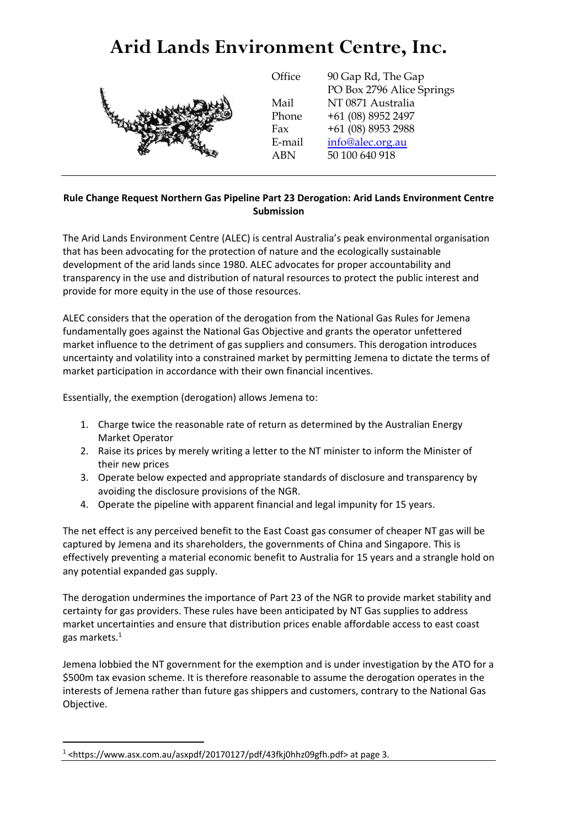# **Arid Lands Environment Centre, Inc.**

Mail



**Office** 90 Gap Rd, The Gap PO Box 2796 Alice Springs NT 0871 Australia Phone +61 (08) 8952 2497 Fax +61 (08) 8953 2988 E-mail [info@alec.org.au](mailto:info@alec.org.au) ABN 50 100 640 918

### **Rule Change Request Northern Gas Pipeline Part 23 Derogation: Arid Lands Environment Centre Submission**

The Arid Lands Environment Centre (ALEC) is central Australia's peak environmental organisation that has been advocating for the protection of nature and the ecologically sustainable development of the arid lands since 1980. ALEC advocates for proper accountability and transparency in the use and distribution of natural resources to protect the public interest and provide for more equity in the use of those resources.

ALEC considers that the operation of the derogation from the National Gas Rules for Jemena fundamentally goes against the National Gas Objective and grants the operator unfettered market influence to the detriment of gas suppliers and consumers. This derogation introduces uncertainty and volatility into a constrained market by permitting Jemena to dictate the terms of market participation in accordance with their own financial incentives.

Essentially, the exemption (derogation) allows Jemena to:

- 1. Charge twice the reasonable rate of return as determined by the Australian Energy Market Operator
- 2. Raise its prices by merely writing a letter to the NT minister to inform the Minister of their new prices
- 3. Operate below expected and appropriate standards of disclosure and transparency by avoiding the disclosure provisions of the NGR.
- 4. Operate the pipeline with apparent financial and legal impunity for 15 years.

The net effect is any perceived benefit to the East Coast gas consumer of cheaper NT gas will be captured by Jemena and its shareholders, the governments of China and Singapore. This is effectively preventing a material economic benefit to Australia for 15 years and a strangle hold on any potential expanded gas supply.

The derogation undermines the importance of Part 23 of the NGR to provide market stability and certainty for gas providers. These rules have been anticipated by NT Gas supplies to address market uncertainties and ensure that distribution prices enable affordable access to east coast gas markets.<sup>1</sup>

Jemena lobbied the NT government for the exemption and is under investigation by the ATO for a \$500m tax evasion scheme. It is therefore reasonable to assume the derogation operates in the interests of Jemena rather than future gas shippers and customers, contrary to the National Gas Objective.

 $\overline{a}$ 

 $1$  <https://www.asx.com.au/asxpdf/20170127/pdf/43fkj0hhz09gfh.pdf> at page 3.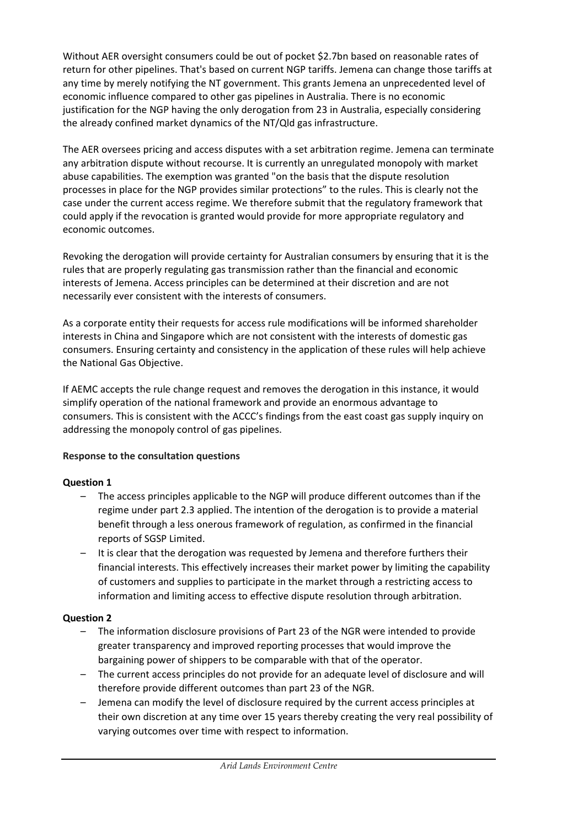Without AER oversight consumers could be out of pocket \$2.7bn based on reasonable rates of return for other pipelines. That's based on current NGP tariffs. Jemena can change those tariffs at any time by merely notifying the NT government. This grants Jemena an unprecedented level of economic influence compared to other gas pipelines in Australia. There is no economic justification for the NGP having the only derogation from 23 in Australia, especially considering the already confined market dynamics of the NT/Qld gas infrastructure.

The AER oversees pricing and access disputes with a set arbitration regime. Jemena can terminate any arbitration dispute without recourse. It is currently an unregulated monopoly with market abuse capabilities. The exemption was granted "on the basis that the dispute resolution processes in place for the NGP provides similar protections" to the rules. This is clearly not the case under the current access regime. We therefore submit that the regulatory framework that could apply if the revocation is granted would provide for more appropriate regulatory and economic outcomes.

Revoking the derogation will provide certainty for Australian consumers by ensuring that it is the rules that are properly regulating gas transmission rather than the financial and economic interests of Jemena. Access principles can be determined at their discretion and are not necessarily ever consistent with the interests of consumers.

As a corporate entity their requests for access rule modifications will be informed shareholder interests in China and Singapore which are not consistent with the interests of domestic gas consumers. Ensuring certainty and consistency in the application of these rules will help achieve the National Gas Objective.

If AEMC accepts the rule change request and removes the derogation in this instance, it would simplify operation of the national framework and provide an enormous advantage to consumers. This is consistent with the ACCC's findings from the east coast gas supply inquiry on addressing the monopoly control of gas pipelines.

## **Response to the consultation questions**

## **Question 1**

- The access principles applicable to the NGP will produce different outcomes than if the regime under part 2.3 applied. The intention of the derogation is to provide a material benefit through a less onerous framework of regulation, as confirmed in the financial reports of SGSP Limited.
- It is clear that the derogation was requested by Jemena and therefore furthers their financial interests. This effectively increases their market power by limiting the capability of customers and supplies to participate in the market through a restricting access to information and limiting access to effective dispute resolution through arbitration.

## **Question 2**

- The information disclosure provisions of Part 23 of the NGR were intended to provide greater transparency and improved reporting processes that would improve the bargaining power of shippers to be comparable with that of the operator.
- The current access principles do not provide for an adequate level of disclosure and will therefore provide different outcomes than part 23 of the NGR.
- Jemena can modify the level of disclosure required by the current access principles at their own discretion at any time over 15 years thereby creating the very real possibility of varying outcomes over time with respect to information.